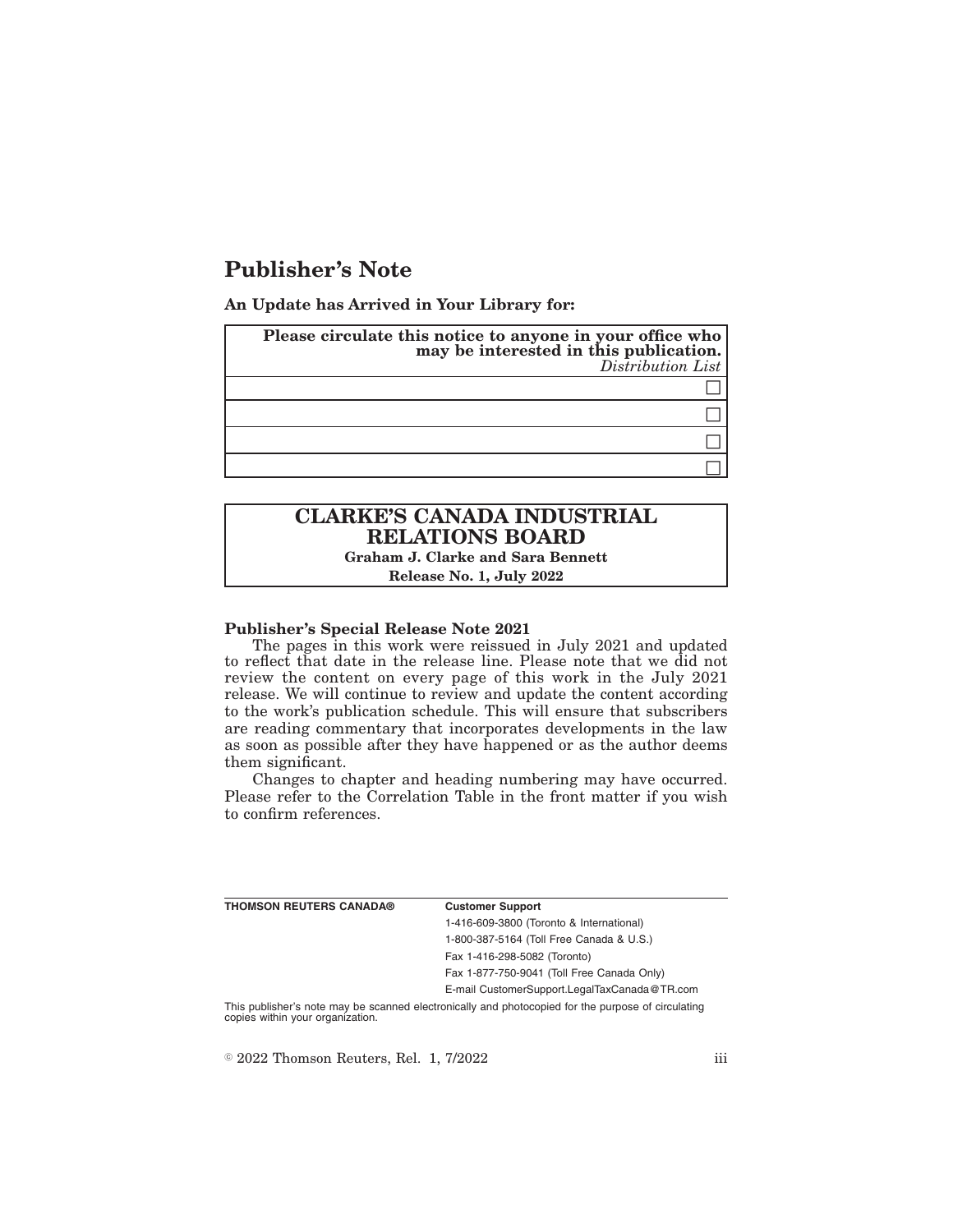# **Publisher's Note**

**An Update has Arrived in Your Library for:**

| Please circulate this notice to anyone in your office who<br>may be interested in this publication.<br>Distribution List |
|--------------------------------------------------------------------------------------------------------------------------|
|                                                                                                                          |
|                                                                                                                          |
|                                                                                                                          |
|                                                                                                                          |

## **CLARKE'S CANADA INDUSTRIAL RELATIONS BOARD Graham J. Clarke and Sara Bennett**

**Release No. 1, July 2022**

#### **Publisher's Special Release Note 2021**

The pages in this work were reissued in July 2021 and updated to reflect that date in the release line. Please note that we did not review the content on every page of this work in the July 2021 release. We will continue to review and update the content according to the work's publication schedule. This will ensure that subscribers are reading commentary that incorporates developments in the law as soon as possible after they have happened or as the author deems them significant.

Changes to chapter and heading numbering may have occurred. Please refer to the Correlation Table in the front matter if you wish to confirm references.

| THOMSON REUTERS CANADA® | <b>Customer Support</b>                      |
|-------------------------|----------------------------------------------|
|                         | 1-416-609-3800 (Toronto & International)     |
|                         | 1-800-387-5164 (Toll Free Canada & U.S.)     |
|                         | Fax 1-416-298-5082 (Toronto)                 |
|                         | Fax 1-877-750-9041 (Toll Free Canada Only)   |
|                         | E-mail CustomerSupport.LegalTaxCanada@TR.com |
|                         |                                              |

This publisher's note may be scanned electronically and photocopied for the purpose of circulating copies within your organization.

 $\textdegree$  2022 Thomson Reuters, Rel. 1, 7/2022 iii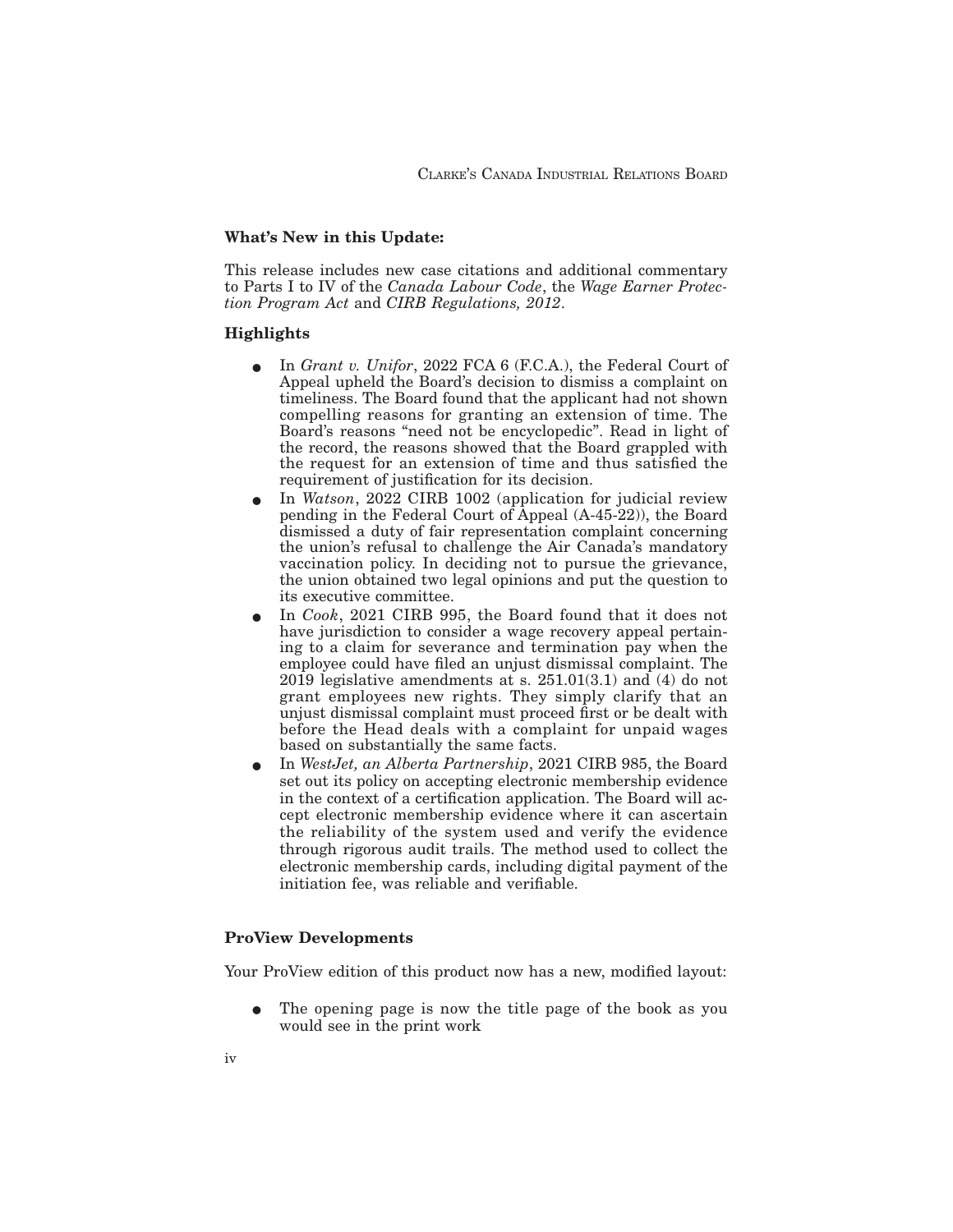#### **What's New in this Update:**

This release includes new case citations and additional commentary to Parts I to IV of the *Canada Labour Code*, the *Wage Earner Protection Program Act* and *CIRB Regulations, 2012*.

### **Highlights**

- E In *Grant v. Unifor*, 2022 FCA 6 (F.C.A.), the Federal Court of Appeal upheld the Board's decision to dismiss a complaint on timeliness. The Board found that the applicant had not shown compelling reasons for granting an extension of time. The Board's reasons "need not be encyclopedic". Read in light of the record, the reasons showed that the Board grappled with the request for an extension of time and thus satisfied the requirement of justification for its decision.
- E In *Watson*, 2022 CIRB 1002 (application for judicial review pending in the Federal Court of Appeal (A-45-22)), the Board dismissed a duty of fair representation complaint concerning the union's refusal to challenge the Air Canada's mandatory vaccination policy. In deciding not to pursue the grievance, the union obtained two legal opinions and put the question to its executive committee.
- E In *Cook*, 2021 CIRB 995, the Board found that it does not have jurisdiction to consider a wage recovery appeal pertaining to a claim for severance and termination pay when the employee could have filed an unjust dismissal complaint. The 2019 legislative amendments at s.  $251.01(3.1)$  and (4) do not grant employees new rights. They simply clarify that an unjust dismissal complaint must proceed first or be dealt with before the Head deals with a complaint for unpaid wages based on substantially the same facts.
- E In *WestJet, an Alberta Partnership*, 2021 CIRB 985, the Board set out its policy on accepting electronic membership evidence in the context of a certification application. The Board will accept electronic membership evidence where it can ascertain the reliability of the system used and verify the evidence through rigorous audit trails. The method used to collect the electronic membership cards, including digital payment of the initiation fee, was reliable and verifiable.

#### **ProView Developments**

Your ProView edition of this product now has a new, modified layout:

The opening page is now the title page of the book as you would see in the print work